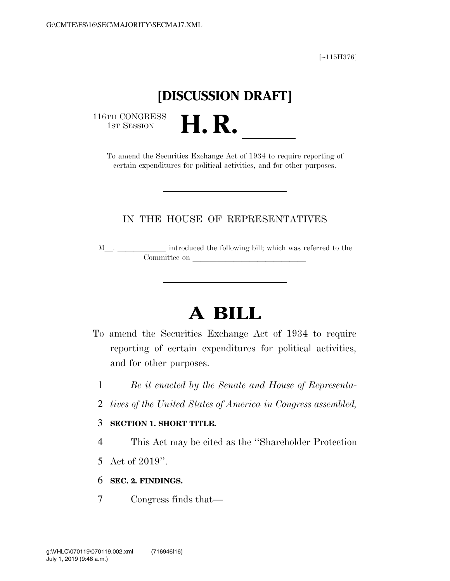[∼115H376]

## **[DISCUSSION DRAFT]**

116TH CONGRESS<br>1st Session

TH CONGRESS<br>1st SESSION **H. R.** <u>Indicated the Securities Exchange Act of 1934</u> to require reporting of certain expenditures for political activities, and for other purposes.

### IN THE HOUSE OF REPRESENTATIVES

<sup>M</sup>l. llllll introduced the following bill; which was referred to the Committee on later and later the committee on later and later than  $\sim$ 

# **A BILL**

- To amend the Securities Exchange Act of 1934 to require reporting of certain expenditures for political activities, and for other purposes.
	- 1 *Be it enacted by the Senate and House of Representa-*
	- 2 *tives of the United States of America in Congress assembled,*

#### 3 **SECTION 1. SHORT TITLE.**

4 This Act may be cited as the ''Shareholder Protection

- 5 Act of 2019''.
- 6 **SEC. 2. FINDINGS.**
- 7 Congress finds that—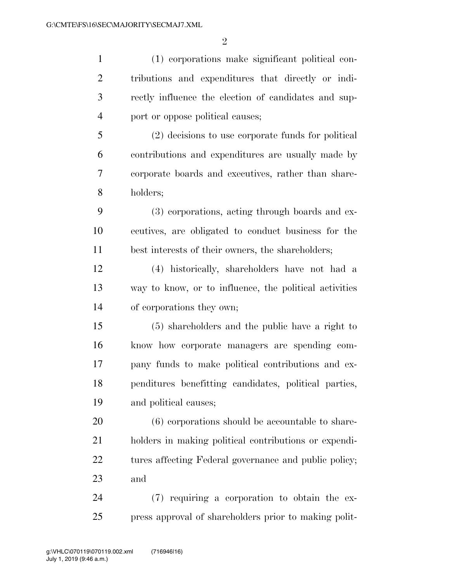(1) corporations make significant political con- tributions and expenditures that directly or indi- rectly influence the election of candidates and sup- port or oppose political causes; (2) decisions to use corporate funds for political contributions and expenditures are usually made by corporate boards and executives, rather than share- holders; (3) corporations, acting through boards and ex- ecutives, are obligated to conduct business for the best interests of their owners, the shareholders; (4) historically, shareholders have not had a way to know, or to influence, the political activities of corporations they own; (5) shareholders and the public have a right to know how corporate managers are spending com- pany funds to make political contributions and ex- penditures benefitting candidates, political parties, and political causes; (6) corporations should be accountable to share- holders in making political contributions or expendi-22 tures affecting Federal governance and public policy; and (7) requiring a corporation to obtain the ex-press approval of shareholders prior to making polit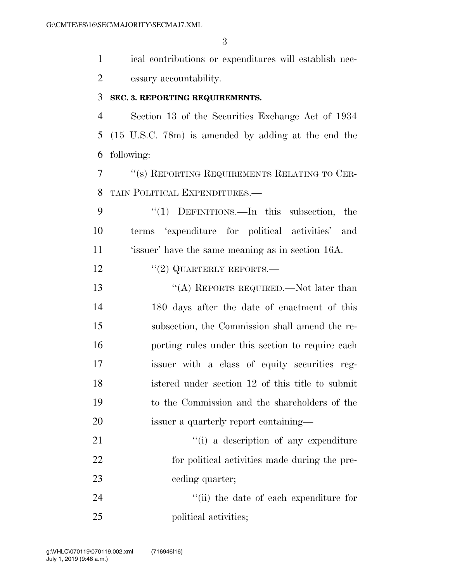ical contributions or expenditures will establish nec-essary accountability.

#### **SEC. 3. REPORTING REQUIREMENTS.**

 Section 13 of the Securities Exchange Act of 1934 (15 U.S.C. 78m) is amended by adding at the end the following:

 ''(s) REPORTING REQUIREMENTS RELATING TO CER-TAIN POLITICAL EXPENDITURES.—

9 "(1) DEFINITIONS.—In this subsection, the terms 'expenditure for political activities' and 'issuer' have the same meaning as in section 16A.

12 "(2) QUARTERLY REPORTS.—

 ''(A) REPORTS REQUIRED.—Not later than 180 days after the date of enactment of this subsection, the Commission shall amend the re- porting rules under this section to require each issuer with a class of equity securities reg- istered under section 12 of this title to submit to the Commission and the shareholders of the issuer a quarterly report containing—

21  $\frac{1}{1}$  a description of any expenditure for political activities made during the pre-23 ceding quarter;

24 ''(ii) the date of each expenditure for 25 political activities;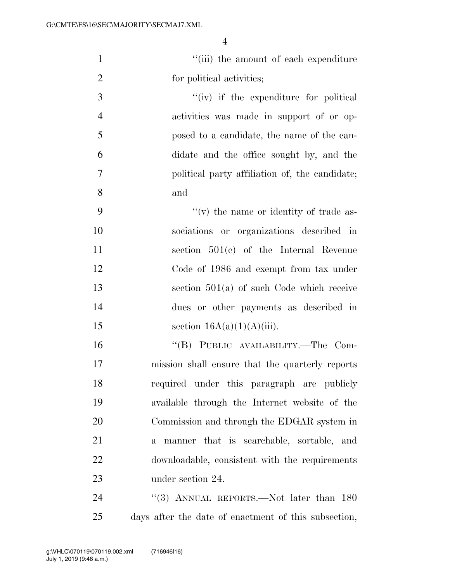| $\mathbf{1}$   | "(iii) the amount of each expenditure                    |
|----------------|----------------------------------------------------------|
| $\overline{2}$ | for political activities;                                |
| 3              | $``(iv)$ if the expenditure for political                |
| $\overline{4}$ | activities was made in support of or op-                 |
| 5              | posed to a candidate, the name of the can-               |
| 6              | didate and the office sought by, and the                 |
| $\tau$         | political party affiliation of, the candidate;           |
| 8              | and                                                      |
| 9              | $f'(v)$ the name or identity of trade as-                |
| 10             | sociations or organizations described in                 |
| 11             | section $501(e)$ of the Internal Revenue                 |
| 12             | Code of 1986 and exempt from tax under                   |
| 13             | section $501(a)$ of such Code which receive              |
| 14             | dues or other payments as described in                   |
| 15             | section $16A(a)(1)(A(iii))$ .                            |
| 16             | "(B) PUBLIC AVAILABILITY.—The Com-                       |
| 17             | mission shall ensure that the quarterly reports          |
| 18             | required under this paragraph are publicly               |
| 19             | available through the Internet website of the            |
| 20             | Commission and through the EDGAR system in               |
| 21             | manner that is searchable, sortable, and<br>$\mathbf{a}$ |
| 22             | downloadable, consistent with the requirements           |
| 23             | under section 24.                                        |
| 24             | "(3) ANNUAL REPORTS.—Not later than 180                  |
| 25             | days after the date of enactment of this subsection,     |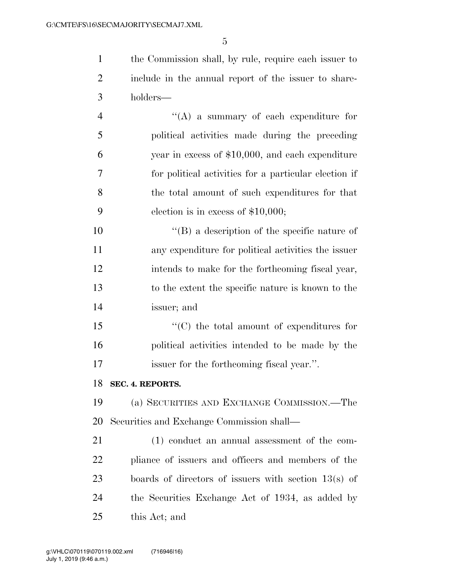the Commission shall, by rule, require each issuer to include in the annual report of the issuer to share-holders—

 ''(A) a summary of each expenditure for political activities made during the preceding year in excess of \$10,000, and each expenditure for political activities for a particular election if the total amount of such expenditures for that election is in excess of \$10,000;

 ''(B) a description of the specific nature of any expenditure for political activities the issuer intends to make for the forthcoming fiscal year, to the extent the specific nature is known to the issuer; and

15  $\langle ^{\prime\prime}(C) \rangle$  the total amount of expenditures for political activities intended to be made by the issuer for the forthcoming fiscal year.''.

#### **SEC. 4. REPORTS.**

 (a) SECURITIES AND EXCHANGE COMMISSION.—The Securities and Exchange Commission shall—

 (1) conduct an annual assessment of the com- pliance of issuers and officers and members of the boards of directors of issuers with section 13(s) of the Securities Exchange Act of 1934, as added by this Act; and